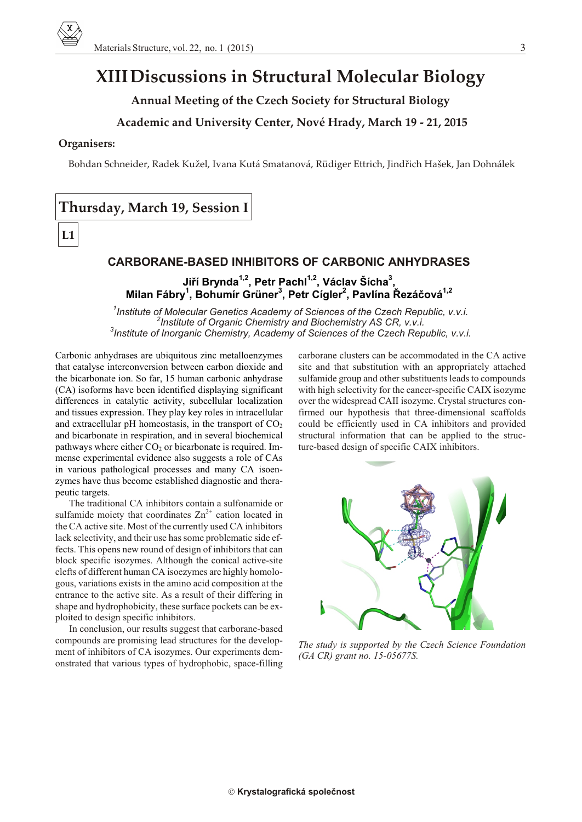# **XIII Discussions in Structural Molecular Biology**

**Annual Meeting of the Czech Society for Structural Biology**

## **Academic and University Center, Nové Hrady, March 19 - 21, 2015**

#### **Organisers:**

Bohdan Schneider, Radek Kužel, Ivana Kutá Smatanová, Rüdiger Ettrich, Jindřich Hašek, Jan Dohnálek

# **Thursday, March 19, Session I**

# **L1**

# **CARBORANE-BASED INHIBITORS OF CARBONIC ANHYDRASES**

**Jiøí Brynda1,2, Petr Pachl1,2, Václav Šícha<sup>3</sup> , Mi lan Fábry<sup>1</sup> , Bohumír Grüner<sup>3</sup> , Petr Cígler<sup>2</sup> , Pavlína Øezáèová1,2**

<sup>1</sup> Institute of Molecular Genetics Academy of Sciences of the Czech Republic, v.v.i. <sup>2</sup> Institute of Organic Chemistry and Biochemistry AS CR, v.v.i. <sup>3</sup> Institute of Inorganic Chemistry, Academy of Sciences of the Czech Republic, v.v.i.

Carbonic anhydrases are ubiquitous zinc metalloenzymes that catalyse interconversion between carbon dioxide and the bicarbonate ion. So far, 15 human carbonic anhydrase  $(CA)$  isoforms have been identified displaying significant differences in catalytic activity, subcellular localization and tissues expression. They play key roles in intracellular and extracellular pH homeostasis, in the transport of  $CO<sub>2</sub>$ and bicarbonate in respiration, and in several biochemical pathways where either  $CO<sub>2</sub>$  or bicarbonate is required. Immense experimental evidence also suggests a role of CAs in various pathological processes and many CA isoenzymes have thus become established diagnostic and therapeutic targets.

The traditional CA inhibitors contain a sulfonamide or sulfamide moiety that coordinates  $Zn^{2+}$  cation located in the CA active site. Most of the currently used CA inhibitors lack selectivity, and their use has some problematic side effects. This opens new round of design of inhibitors that can block specific isozymes. Although the conical active-site clefts of different human CA isoezymes are highly homologous, variations exists in the amino acid composition at the entrance to the active site. As a result of their differing in shape and hydrophobicity, these surface pockets can be exploited to design specific inhibitors.

In conclusion, our results suggest that carborane-based compounds are promising lead structures for the development of inhibitors of CA isozymes. Our experiments demon strated that various types of hydrophobic, space-filling

carborane clusters can be accommodated in the CA active site and that substitution with an appropriately attached sulfamide group and other substituents leads to compounds with high selectivity for the cancer-specific CAIX isozyme over the widespread CAII isozyme. Crystal structures confirmed our hypothesis that three-dimensional scaffolds could be efficiently used in CA inhibitors and provided structural information that can be applied to the structure-based design of specific CAIX inhibitors.



The study is supported by the Czech Science Foundation *(GA CR) grant no. 15-05677S.*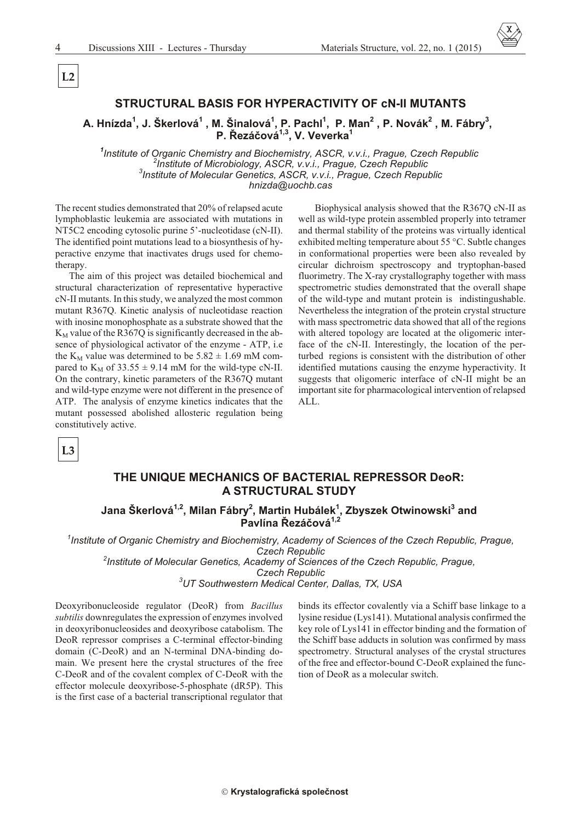$L2$ 

## STRUCTURAL BASIS FOR HYPERACTIVITY OF CN-II MUTANTS

# A. Hnízda<sup>1</sup>, J. Škerlová<sup>1</sup>, M. Šinalová<sup>1</sup>, P. Pachl<sup>1</sup>, P. Man<sup>2</sup>, P. Novák<sup>2</sup>, M. Fábry<sup>3</sup>, P. Řezáčová<sup>1,3</sup>, V. Veverka<sup>1</sup>

<sup>1</sup>Institute of Organic Chemistry and Biochemistry, ASCR, v.v.i., Prague, Czech Republic Institute of Microbiology, ASCR, v.v.i., Prague, Czech Republic <sup>3</sup>Institute of Molecular Genetics, ASCR, v.v.i., Prague, Czech Republic hnizda@uochb.cas

The recent studies demonstrated that 20% of relapsed acute lymphoblastic leukemia are associated with mutations in NT5C2 encoding cytosolic purine 5'-nucleotidase (cN-II). The identified point mutations lead to a biosynthesis of hyperactive enzyme that inactivates drugs used for chemotherapy.

The aim of this project was detailed biochemical and structural characterization of representative hyperactive cN-II mutants. In this study, we analyzed the most common mutant R367Q. Kinetic analysis of nucleotidase reaction with inosine monophosphate as a substrate showed that the  $K_M$  value of the R367Q is significantly decreased in the absence of physiological activator of the enzyme - ATP, i.e. the K<sub>M</sub> value was determined to be  $5.82 \pm 1.69$  mM compared to  $K_M$  of 33.55  $\pm$  9.14 mM for the wild-type cN-II. On the contrary, kinetic parameters of the R367Q mutant and wild-type enzyme were not different in the presence of ATP. The analysis of enzyme kinetics indicates that the mutant possessed abolished allosteric regulation being constitutively active.

Biophysical analysis showed that the R367Q cN-II as well as wild-type protein assembled properly into tetramer and thermal stability of the proteins was virtually identical exhibited melting temperature about 55 °C. Subtle changes in conformational properties were been also revealed by circular dichroism spectroscopy and tryptophan-based fluorimetry. The X-ray crystallography together with mass spectrometric studies demonstrated that the overall shape of the wild-type and mutant protein is indistingushable. Nevertheless the integration of the protein crystal structure with mass spectrometric data showed that all of the regions with altered topology are located at the oligomeric interface of the cN-II. Interestingly, the location of the perturbed regions is consistent with the distribution of other identified mutations causing the enzyme hyperactivity. It suggests that oligomeric interface of cN-II might be an important site for pharmacological intervention of relapsed ALL.

 $L3$ 

# THE UNIQUE MECHANICS OF BACTERIAL REPRESSOR DeoR: **A STRUCTURAL STUDY**

# Jana Škerlová<sup>1,2</sup>, Milan Fábry<sup>2</sup>, Martin Hubálek<sup>1</sup>, Zbyszek Otwinowski<sup>3</sup> and Pavlína Řezáčová<sup>1,2</sup>

<sup>1</sup>Institute of Organic Chemistry and Biochemistry, Academy of Sciences of the Czech Republic, Prague, **Czech Republic** <sup>2</sup>Institute of Molecular Genetics, Academy of Sciences of the Czech Republic, Prague, **Czech Republic** <sup>3</sup>UT Southwestern Medical Center, Dallas, TX, USA

Deoxyribonucleoside regulator (DeoR) from Bacillus *subtilis* downregulates the expression of enzymes involved in deoxyribonucleosides and deoxyribose catabolism. The DeoR repressor comprises a C-terminal effector-binding domain (C-DeoR) and an N-terminal DNA-binding domain. We present here the crystal structures of the free C-DeoR and of the covalent complex of C-DeoR with the effector molecule deoxyribose-5-phosphate (dR5P). This is the first case of a bacterial transcriptional regulator that binds its effector covalently via a Schiff base linkage to a lysine residue (Lys141). Mutational analysis confirmed the key role of Lys141 in effector binding and the formation of the Schiff base adducts in solution was confirmed by mass spectrometry. Structural analyses of the crystal structures of the free and effector-bound C-DeoR explained the function of DeoR as a molecular switch.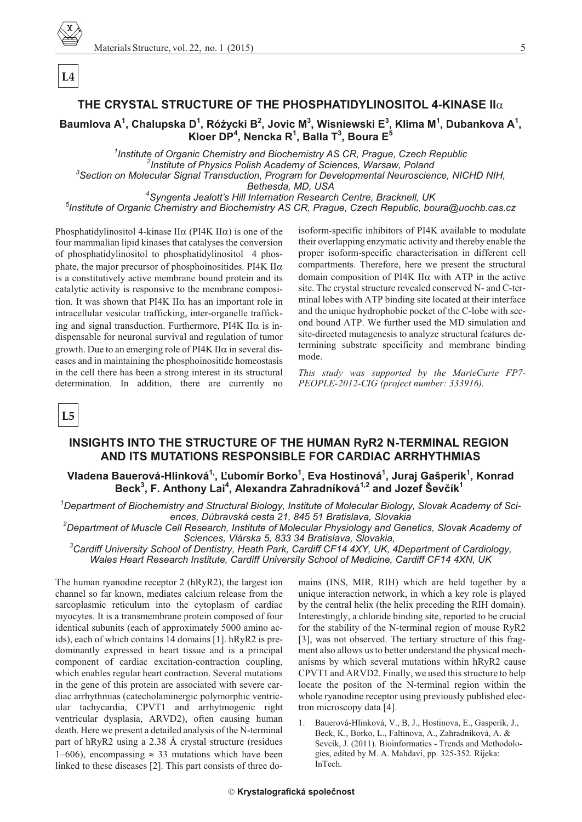$L4$ 

# THE CRYSTAL STRUCTURE OF THE PHOSPHATIDYLINOSITOL 4-KINASE II

Baumlova A<sup>1</sup>, Chalupska D<sup>1</sup>, Róźycki B<sup>2</sup>, Jovic M<sup>3</sup>, Wisniewski E<sup>3</sup>, Klima M<sup>1</sup>, Dubankova A<sup>1</sup>, Kloer DP<sup>4</sup>, Nencka R<sup>1</sup>, Balla T<sup>3</sup>, Boura E<sup>5</sup>

<sup>1</sup>Institute of Organic Chemistry and Biochemistry AS CR, Prague, Czech Republic <sup>2</sup>Institute of Physics Polish Academy of Sciences, Warsaw, Poland <sup>3</sup>Section on Molecular Signal Transduction, Program for Developmental Neuroscience, NICHD NIH, Bethesda, MD, USA

<sup>4</sup>Syngenta Jealott's Hill Internation Research Centre, Bracknell, UK <sup>5</sup>Institute of Organic Chemistry and Biochemistry AS CR, Prague, Czech Republic, boura@uochb.cas.cz

Phosphatidylinositol 4-kinase II (PI4K II) is one of the four mammalian lipid kinases that catalyses the conversion of phosphatidylinositol to phosphatidylinositol 4 phosphate, the major precursor of phosphoinositides. PI4K II is a constitutively active membrane bound protein and its catalytic activity is responsive to the membrane composition. It was shown that PI4K II has an important role in intracellular vesicular trafficking, inter-organelle trafficking and signal transduction. Furthermore, PI4K II is indispensable for neuronal survival and regulation of tumor growth. Due to an emerging role of PI4K II in several diseases and in maintaining the phosphoinositide homeostasis in the cell there has been a strong interest in its structural determination. In addition, there are currently no isoform-specific inhibitors of PI4K available to modulate their overlapping enzymatic activity and thereby enable the proper isoform-specific characterisation in different cell compartments. Therefore, here we present the structural domain composition of PI4K II with ATP in the active site. The crystal structure revealed conserved N- and C-terminal lobes with ATP binding site located at their interface and the unique hydrophobic pocket of the C-lobe with second bound ATP. We further used the MD simulation and site-directed mutagenesis to analyze structural features determining substrate specificity and membrane binding mode.

This study was supported by the MarieCurie FP7-PEOPLE-2012-CIG (project number: 333916).

 $L5$ 

# INSIGHTS INTO THE STRUCTURE OF THE HUMAN RyR2 N-TERMINAL REGION AND ITS MUTATIONS RESPONSIBLE FOR CARDIAC ARRHYTHMIAS

# Vladena Bauerová-Hlinková<sup>1</sup>', Ľubomír Borko<sup>1</sup>, Eva Hostinová<sup>1</sup>, Juraj Gašperík<sup>1</sup>, Konrad Beck<sup>3</sup>, F. Anthony Lai<sup>4</sup>, Alexandra Zahradníková<sup>1,2</sup> and Jozef Ševčík<sup>1</sup>

 $^1$ Department of Biochemistry and Structural Biology, Institute of Molecular Biology, Slovak Academy of Sciences, Dúbravská cesta 21, 845 51 Bratislava, Slovakia

<sup>2</sup>Department of Muscle Cell Research, Institute of Molecular Physiology and Genetics, Slovak Academy of Sciences, Vlárska 5, 833 34 Bratislava, Slovakia,

 ${}^{3}$ Cardiff University School of Dentistry, Heath Park, Cardiff CF14 4XY, UK, 4Department of Cardiology, Wales Heart Research Institute, Cardiff University School of Medicine, Cardiff CF14 4XN, UK

The human ryanodine receptor 2 (hRyR2), the largest ion channel so far known, mediates calcium release from the sarcoplasmic reticulum into the cytoplasm of cardiac myocytes. It is a transmembrane protein composed of four identical subunits (each of approximately 5000 amino acids), each of which contains 14 domains [1]. hRyR2 is predominantly expressed in heart tissue and is a principal component of cardiac excitation-contraction coupling, which enables regular heart contraction. Several mutations in the gene of this protein are associated with severe cardiac arrhythmias (catecholaminergic polymorphic ventricular tachycardia, CPVT1 and arrhytmogenic right ventricular dysplasia, ARVD2), often causing human death. Here we present a detailed analysis of the N-terminal part of hRyR2 using a 2.38 Å crystal structure (residues 1–606), encompassing 33 mutations which have been linked to these diseases [2]. This part consists of three do-

mains (INS, MIR, RIH) which are held together by a unique interaction network, in which a key role is played by the central helix (the helix preceding the RIH domain). Interestingly, a chloride binding site, reported to be crucial for the stability of the N-terminal region of mouse RyR2 [3], was not observed. The tertiary structure of this fragment also allows us to better understand the physical mechanisms by which several mutations within hRyR2 cause CPVT1 and ARVD2. Finally, we used this structure to help locate the positon of the N-terminal region within the whole ryanodine receptor using previously published electron microscopy data [4].

Bauerová-Hlinková, V., B. J., Hostinova, E., Gasperík, J.,  $\mathbf{1}$ Beck, K., Borko, L., Faltinova, A., Zahradníková, A. & Sevcik, J. (2011). Bioinformatics - Trends and Methodologies, edited by M. A. Mahdavi, pp. 325-352. Rijeka: InTech.